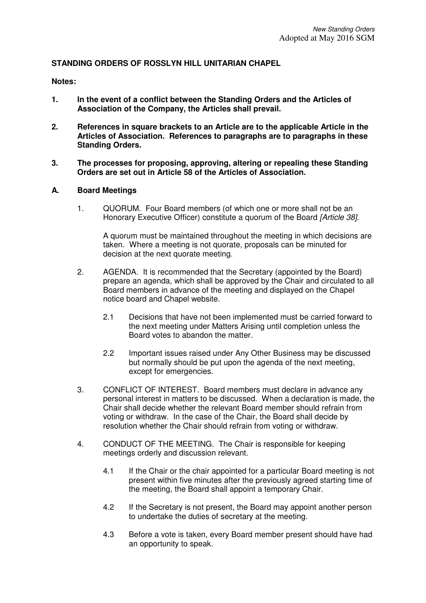### **STANDING ORDERS OF ROSSLYN HILL UNITARIAN CHAPEL**

### **Notes:**

- **1. In the event of a conflict between the Standing Orders and the Articles of Association of the Company, the Articles shall prevail.**
- **2. References in square brackets to an Article are to the applicable Article in the Articles of Association. References to paragraphs are to paragraphs in these Standing Orders.**
- **3. The processes for proposing, approving, altering or repealing these Standing Orders are set out in Article 58 of the Articles of Association.**

### **A. Board Meetings**

1. QUORUM. Four Board members (of which one or more shall not be an Honorary Executive Officer) constitute a quorum of the Board [Article 38].

A quorum must be maintained throughout the meeting in which decisions are taken. Where a meeting is not quorate, proposals can be minuted for decision at the next quorate meeting.

- 2. AGENDA. It is recommended that the Secretary (appointed by the Board) prepare an agenda, which shall be approved by the Chair and circulated to all Board members in advance of the meeting and displayed on the Chapel notice board and Chapel website.
	- 2.1 Decisions that have not been implemented must be carried forward to the next meeting under Matters Arising until completion unless the Board votes to abandon the matter.
	- 2.2 Important issues raised under Any Other Business may be discussed but normally should be put upon the agenda of the next meeting, except for emergencies.
- 3. CONFLICT OF INTEREST. Board members must declare in advance any personal interest in matters to be discussed. When a declaration is made, the Chair shall decide whether the relevant Board member should refrain from voting or withdraw. In the case of the Chair, the Board shall decide by resolution whether the Chair should refrain from voting or withdraw.
- 4. CONDUCT OF THE MEETING. The Chair is responsible for keeping meetings orderly and discussion relevant.
	- 4.1 If the Chair or the chair appointed for a particular Board meeting is not present within five minutes after the previously agreed starting time of the meeting, the Board shall appoint a temporary Chair.
	- 4.2 If the Secretary is not present, the Board may appoint another person to undertake the duties of secretary at the meeting.
	- 4.3 Before a vote is taken, every Board member present should have had an opportunity to speak.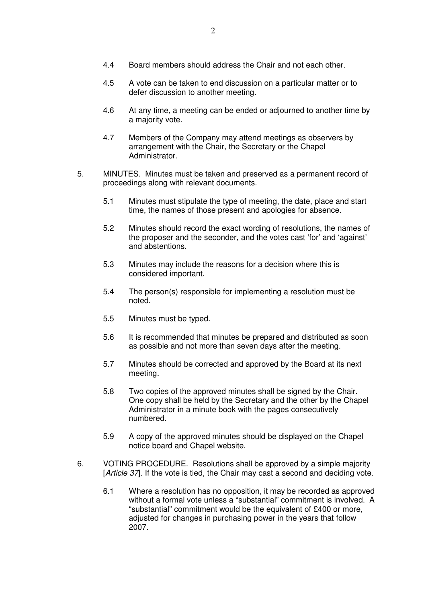- 4.5 A vote can be taken to end discussion on a particular matter or to defer discussion to another meeting.
- 4.6 At any time, a meeting can be ended or adjourned to another time by a majority vote.
- 4.7 Members of the Company may attend meetings as observers by arrangement with the Chair, the Secretary or the Chapel Administrator.
- 5. MINUTES. Minutes must be taken and preserved as a permanent record of proceedings along with relevant documents.
	- 5.1 Minutes must stipulate the type of meeting, the date, place and start time, the names of those present and apologies for absence.
	- 5.2 Minutes should record the exact wording of resolutions, the names of the proposer and the seconder, and the votes cast 'for' and 'against' and abstentions.
	- 5.3 Minutes may include the reasons for a decision where this is considered important.
	- 5.4 The person(s) responsible for implementing a resolution must be noted.
	- 5.5 Minutes must be typed.
	- 5.6 It is recommended that minutes be prepared and distributed as soon as possible and not more than seven days after the meeting.
	- 5.7 Minutes should be corrected and approved by the Board at its next meeting.
	- 5.8 Two copies of the approved minutes shall be signed by the Chair. One copy shall be held by the Secretary and the other by the Chapel Administrator in a minute book with the pages consecutively numbered.
	- 5.9 A copy of the approved minutes should be displayed on the Chapel notice board and Chapel website.
- 6. VOTING PROCEDURE. Resolutions shall be approved by a simple majority [Article 37]. If the vote is tied, the Chair may cast a second and deciding vote.
	- 6.1 Where a resolution has no opposition, it may be recorded as approved without a formal vote unless a "substantial" commitment is involved. A "substantial" commitment would be the equivalent of £400 or more, adjusted for changes in purchasing power in the years that follow 2007.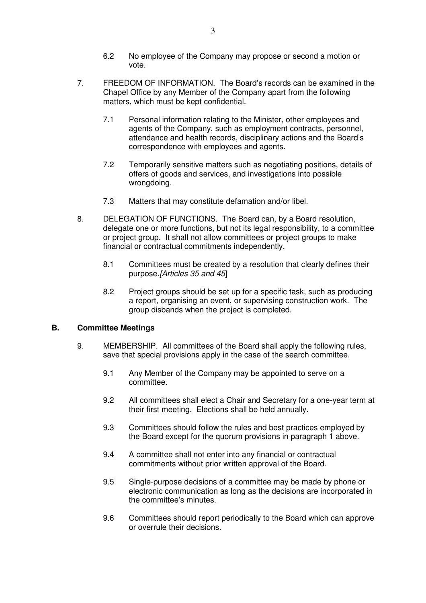- 6.2 No employee of the Company may propose or second a motion or vote.
- 7. FREEDOM OF INFORMATION. The Board's records can be examined in the Chapel Office by any Member of the Company apart from the following matters, which must be kept confidential.
	- 7.1 Personal information relating to the Minister, other employees and agents of the Company, such as employment contracts, personnel, attendance and health records, disciplinary actions and the Board's correspondence with employees and agents.
	- 7.2 Temporarily sensitive matters such as negotiating positions, details of offers of goods and services, and investigations into possible wrongdoing.
	- 7.3 Matters that may constitute defamation and/or libel.
- 8. DELEGATION OF FUNCTIONS. The Board can, by a Board resolution, delegate one or more functions, but not its legal responsibility, to a committee or project group. It shall not allow committees or project groups to make financial or contractual commitments independently.
	- 8.1 Committees must be created by a resolution that clearly defines their purpose.[Articles 35 and 45]
	- 8.2 Project groups should be set up for a specific task, such as producing a report, organising an event, or supervising construction work. The group disbands when the project is completed.

## **B. Committee Meetings**

- 9. MEMBERSHIP. All committees of the Board shall apply the following rules, save that special provisions apply in the case of the search committee.
	- 9.1 Any Member of the Company may be appointed to serve on a committee.
	- 9.2 All committees shall elect a Chair and Secretary for a one-year term at their first meeting. Elections shall be held annually.
	- 9.3 Committees should follow the rules and best practices employed by the Board except for the quorum provisions in paragraph 1 above.
	- 9.4 A committee shall not enter into any financial or contractual commitments without prior written approval of the Board.
	- 9.5 Single-purpose decisions of a committee may be made by phone or electronic communication as long as the decisions are incorporated in the committee's minutes.
	- 9.6 Committees should report periodically to the Board which can approve or overrule their decisions.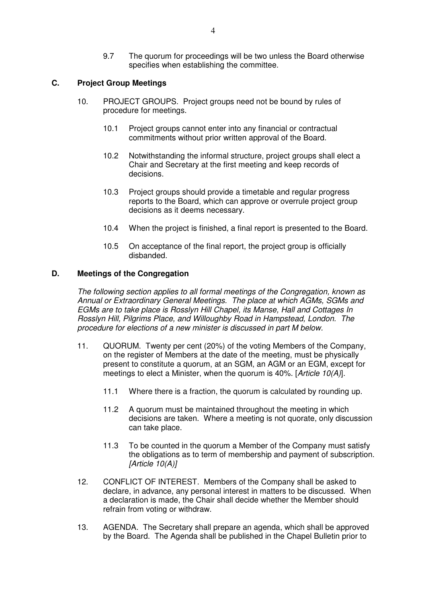9.7 The quorum for proceedings will be two unless the Board otherwise specifies when establishing the committee.

## **C. Project Group Meetings**

- 10. PROJECT GROUPS. Project groups need not be bound by rules of procedure for meetings.
	- 10.1 Project groups cannot enter into any financial or contractual commitments without prior written approval of the Board.
	- 10.2 Notwithstanding the informal structure, project groups shall elect a Chair and Secretary at the first meeting and keep records of decisions.
	- 10.3 Project groups should provide a timetable and regular progress reports to the Board, which can approve or overrule project group decisions as it deems necessary.
	- 10.4 When the project is finished, a final report is presented to the Board.
	- 10.5 On acceptance of the final report, the project group is officially disbanded.

## **D. Meetings of the Congregation**

The following section applies to all formal meetings of the Congregation, known as Annual or Extraordinary General Meetings. The place at which AGMs, SGMs and EGMs are to take place is Rosslyn Hill Chapel, its Manse, Hall and Cottages In Rosslyn Hill, Pilgrims Place, and Willoughby Road in Hampstead, London. The procedure for elections of a new minister is discussed in part M below.

- 11. QUORUM. Twenty per cent (20%) of the voting Members of the Company, on the register of Members at the date of the meeting, must be physically present to constitute a quorum, at an SGM, an AGM or an EGM, except for meetings to elect a Minister, when the quorum is 40%. [Article 10(A)].
	- 11.1 Where there is a fraction, the quorum is calculated by rounding up.
	- 11.2 A quorum must be maintained throughout the meeting in which decisions are taken. Where a meeting is not quorate, only discussion can take place.
	- 11.3 To be counted in the quorum a Member of the Company must satisfy the obligations as to term of membership and payment of subscription. [Article 10(A)]
- 12. CONFLICT OF INTEREST. Members of the Company shall be asked to declare, in advance, any personal interest in matters to be discussed. When a declaration is made, the Chair shall decide whether the Member should refrain from voting or withdraw.
- 13. AGENDA. The Secretary shall prepare an agenda, which shall be approved by the Board. The Agenda shall be published in the Chapel Bulletin prior to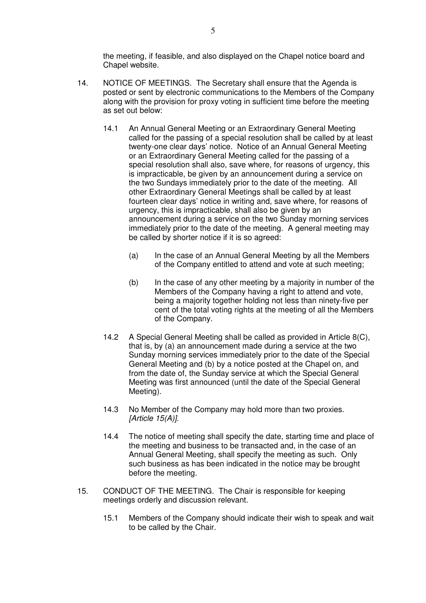the meeting, if feasible, and also displayed on the Chapel notice board and Chapel website.

- 14. NOTICE OF MEETINGS. The Secretary shall ensure that the Agenda is posted or sent by electronic communications to the Members of the Company along with the provision for proxy voting in sufficient time before the meeting as set out below:
	- 14.1 An Annual General Meeting or an Extraordinary General Meeting called for the passing of a special resolution shall be called by at least twenty-one clear days' notice. Notice of an Annual General Meeting or an Extraordinary General Meeting called for the passing of a special resolution shall also, save where, for reasons of urgency, this is impracticable, be given by an announcement during a service on the two Sundays immediately prior to the date of the meeting. All other Extraordinary General Meetings shall be called by at least fourteen clear days' notice in writing and, save where, for reasons of urgency, this is impracticable, shall also be given by an announcement during a service on the two Sunday morning services immediately prior to the date of the meeting. A general meeting may be called by shorter notice if it is so agreed:
		- (a) In the case of an Annual General Meeting by all the Members of the Company entitled to attend and vote at such meeting;
		- (b) In the case of any other meeting by a majority in number of the Members of the Company having a right to attend and vote, being a majority together holding not less than ninety-five per cent of the total voting rights at the meeting of all the Members of the Company.
	- 14.2 A Special General Meeting shall be called as provided in Article 8(C), that is, by (a) an announcement made during a service at the two Sunday morning services immediately prior to the date of the Special General Meeting and (b) by a notice posted at the Chapel on, and from the date of, the Sunday service at which the Special General Meeting was first announced (until the date of the Special General Meeting).
	- 14.3 No Member of the Company may hold more than two proxies.  $[Article 15(A)].$
	- 14.4 The notice of meeting shall specify the date, starting time and place of the meeting and business to be transacted and, in the case of an Annual General Meeting, shall specify the meeting as such. Only such business as has been indicated in the notice may be brought before the meeting.
- 15. CONDUCT OF THE MEETING. The Chair is responsible for keeping meetings orderly and discussion relevant.
	- 15.1 Members of the Company should indicate their wish to speak and wait to be called by the Chair.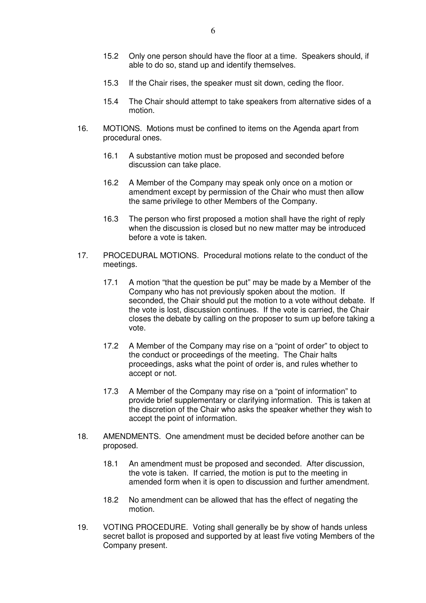- 15.2 Only one person should have the floor at a time. Speakers should, if able to do so, stand up and identify themselves.
- 15.3 If the Chair rises, the speaker must sit down, ceding the floor.
- 15.4 The Chair should attempt to take speakers from alternative sides of a motion.
- 16. MOTIONS. Motions must be confined to items on the Agenda apart from procedural ones.
	- 16.1 A substantive motion must be proposed and seconded before discussion can take place.
	- 16.2 A Member of the Company may speak only once on a motion or amendment except by permission of the Chair who must then allow the same privilege to other Members of the Company.
	- 16.3 The person who first proposed a motion shall have the right of reply when the discussion is closed but no new matter may be introduced before a vote is taken.
- 17. PROCEDURAL MOTIONS. Procedural motions relate to the conduct of the meetings.
	- 17.1 A motion "that the question be put" may be made by a Member of the Company who has not previously spoken about the motion. If seconded, the Chair should put the motion to a vote without debate. If the vote is lost, discussion continues. If the vote is carried, the Chair closes the debate by calling on the proposer to sum up before taking a vote.
	- 17.2 A Member of the Company may rise on a "point of order" to object to the conduct or proceedings of the meeting. The Chair halts proceedings, asks what the point of order is, and rules whether to accept or not.
	- 17.3 A Member of the Company may rise on a "point of information" to provide brief supplementary or clarifying information. This is taken at the discretion of the Chair who asks the speaker whether they wish to accept the point of information.
- 18. AMENDMENTS. One amendment must be decided before another can be proposed.
	- 18.1 An amendment must be proposed and seconded. After discussion, the vote is taken. If carried, the motion is put to the meeting in amended form when it is open to discussion and further amendment.
	- 18.2 No amendment can be allowed that has the effect of negating the motion.
- 19. VOTING PROCEDURE. Voting shall generally be by show of hands unless secret ballot is proposed and supported by at least five voting Members of the Company present.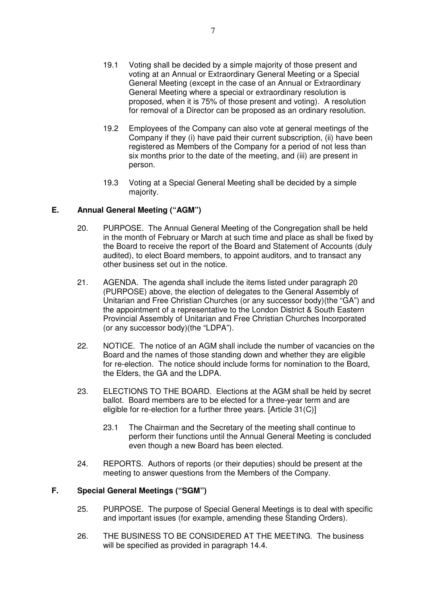- 19.1 Voting shall be decided by a simple majority of those present and voting at an Annual or Extraordinary General Meeting or a Special General Meeting (except in the case of an Annual or Extraordinary General Meeting where a special or extraordinary resolution is proposed, when it is 75% of those present and voting). A resolution for removal of a Director can be proposed as an ordinary resolution.
- 19.2 Employees of the Company can also vote at general meetings of the Company if they (i) have paid their current subscription, (ii) have been registered as Members of the Company for a period of not less than six months prior to the date of the meeting, and (iii) are present in person.
- 19.3 Voting at a Special General Meeting shall be decided by a simple majority.

## **E. Annual General Meeting ("AGM")**

- 20. PURPOSE. The Annual General Meeting of the Congregation shall be held in the month of February or March at such time and place as shall be fixed by the Board to receive the report of the Board and Statement of Accounts (duly audited), to elect Board members, to appoint auditors, and to transact any other business set out in the notice.
- 21. AGENDA. The agenda shall include the items listed under paragraph 20 (PURPOSE) above, the election of delegates to the General Assembly of Unitarian and Free Christian Churches (or any successor body)(the "GA") and the appointment of a representative to the London District & South Eastern Provincial Assembly of Unitarian and Free Christian Churches Incorporated (or any successor body)(the "LDPA").
- 22. NOTICE. The notice of an AGM shall include the number of vacancies on the Board and the names of those standing down and whether they are eligible for re-election. The notice should include forms for nomination to the Board, the Elders, the GA and the LDPA.
- 23. ELECTIONS TO THE BOARD. Elections at the AGM shall be held by secret ballot. Board members are to be elected for a three-year term and are eligible for re-election for a further three years. [Article 31(C)]
	- 23.1 The Chairman and the Secretary of the meeting shall continue to perform their functions until the Annual General Meeting is concluded even though a new Board has been elected.
- 24. REPORTS. Authors of reports (or their deputies) should be present at the meeting to answer questions from the Members of the Company.

# **F. Special General Meetings ("SGM")**

- 25. PURPOSE. The purpose of Special General Meetings is to deal with specific and important issues (for example, amending these Standing Orders).
- 26. THE BUSINESS TO BE CONSIDERED AT THE MEETING. The business will be specified as provided in paragraph 14.4.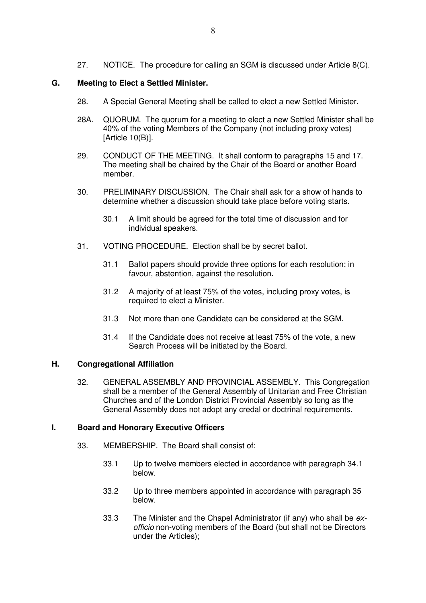27. NOTICE. The procedure for calling an SGM is discussed under Article 8(C).

## **G. Meeting to Elect a Settled Minister.**

- 28. A Special General Meeting shall be called to elect a new Settled Minister.
- 28A. QUORUM. The quorum for a meeting to elect a new Settled Minister shall be 40% of the voting Members of the Company (not including proxy votes) [Article 10(B)].
- 29. CONDUCT OF THE MEETING. It shall conform to paragraphs 15 and 17. The meeting shall be chaired by the Chair of the Board or another Board member.
- 30. PRELIMINARY DISCUSSION. The Chair shall ask for a show of hands to determine whether a discussion should take place before voting starts.
	- 30.1 A limit should be agreed for the total time of discussion and for individual speakers.
- 31. VOTING PROCEDURE. Election shall be by secret ballot.
	- 31.1 Ballot papers should provide three options for each resolution: in favour, abstention, against the resolution.
	- 31.2 A majority of at least 75% of the votes, including proxy votes, is required to elect a Minister.
	- 31.3 Not more than one Candidate can be considered at the SGM.
	- 31.4 If the Candidate does not receive at least 75% of the vote, a new Search Process will be initiated by the Board.

## **H. Congregational Affiliation**

32. GENERAL ASSEMBLY AND PROVINCIAL ASSEMBLY. This Congregation shall be a member of the General Assembly of Unitarian and Free Christian Churches and of the London District Provincial Assembly so long as the General Assembly does not adopt any credal or doctrinal requirements.

## **I. Board and Honorary Executive Officers**

- 33. MEMBERSHIP. The Board shall consist of:
	- 33.1 Up to twelve members elected in accordance with paragraph 34.1 below.
	- 33.2 Up to three members appointed in accordance with paragraph 35 below.
	- 33.3 The Minister and the Chapel Administrator (if any) who shall be exofficio non-voting members of the Board (but shall not be Directors under the Articles);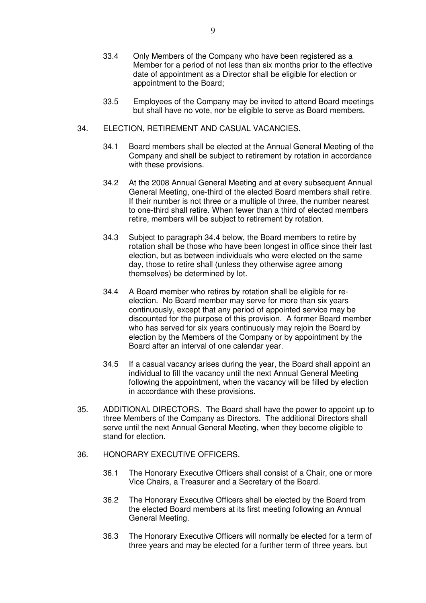- 33.4 Only Members of the Company who have been registered as a Member for a period of not less than six months prior to the effective date of appointment as a Director shall be eligible for election or appointment to the Board;
- 33.5 Employees of the Company may be invited to attend Board meetings but shall have no vote, nor be eligible to serve as Board members.
- 34. ELECTION, RETIREMENT AND CASUAL VACANCIES.
	- 34.1 Board members shall be elected at the Annual General Meeting of the Company and shall be subject to retirement by rotation in accordance with these provisions.
	- 34.2 At the 2008 Annual General Meeting and at every subsequent Annual General Meeting, one-third of the elected Board members shall retire. If their number is not three or a multiple of three, the number nearest to one-third shall retire. When fewer than a third of elected members retire, members will be subject to retirement by rotation.
	- 34.3 Subject to paragraph 34.4 below, the Board members to retire by rotation shall be those who have been longest in office since their last election, but as between individuals who were elected on the same day, those to retire shall (unless they otherwise agree among themselves) be determined by lot.
	- 34.4 A Board member who retires by rotation shall be eligible for reelection. No Board member may serve for more than six years continuously, except that any period of appointed service may be discounted for the purpose of this provision. A former Board member who has served for six years continuously may rejoin the Board by election by the Members of the Company or by appointment by the Board after an interval of one calendar year.
	- 34.5 If a casual vacancy arises during the year, the Board shall appoint an individual to fill the vacancy until the next Annual General Meeting following the appointment, when the vacancy will be filled by election in accordance with these provisions.
- 35. ADDITIONAL DIRECTORS. The Board shall have the power to appoint up to three Members of the Company as Directors. The additional Directors shall serve until the next Annual General Meeting, when they become eligible to stand for election.
- 36. HONORARY EXECUTIVE OFFICERS.
	- 36.1 The Honorary Executive Officers shall consist of a Chair, one or more Vice Chairs, a Treasurer and a Secretary of the Board.
	- 36.2 The Honorary Executive Officers shall be elected by the Board from the elected Board members at its first meeting following an Annual General Meeting.
	- 36.3 The Honorary Executive Officers will normally be elected for a term of three years and may be elected for a further term of three years, but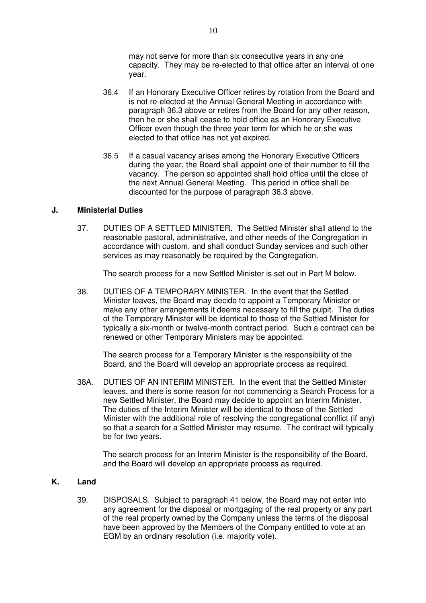may not serve for more than six consecutive years in any one capacity. They may be re-elected to that office after an interval of one year.

- 36.4 If an Honorary Executive Officer retires by rotation from the Board and is not re-elected at the Annual General Meeting in accordance with paragraph 36.3 above or retires from the Board for any other reason, then he or she shall cease to hold office as an Honorary Executive Officer even though the three year term for which he or she was elected to that office has not yet expired.
- 36.5 If a casual vacancy arises among the Honorary Executive Officers during the year, the Board shall appoint one of their number to fill the vacancy. The person so appointed shall hold office until the close of the next Annual General Meeting. This period in office shall be discounted for the purpose of paragraph 36.3 above.

## **J. Ministerial Duties**

37. DUTIES OF A SETTLED MINISTER. The Settled Minister shall attend to the reasonable pastoral, administrative, and other needs of the Congregation in accordance with custom, and shall conduct Sunday services and such other services as may reasonably be required by the Congregation.

The search process for a new Settled Minister is set out in Part M below.

38. DUTIES OF A TEMPORARY MINISTER. In the event that the Settled Minister leaves, the Board may decide to appoint a Temporary Minister or make any other arrangements it deems necessary to fill the pulpit. The duties of the Temporary Minister will be identical to those of the Settled Minister for typically a six-month or twelve-month contract period. Such a contract can be renewed or other Temporary Ministers may be appointed.

The search process for a Temporary Minister is the responsibility of the Board, and the Board will develop an appropriate process as required.

38A. DUTIES OF AN INTERIM MINISTER. In the event that the Settled Minister leaves, and there is some reason for not commencing a Search Process for a new Settled Minister, the Board may decide to appoint an Interim Minister. The duties of the Interim Minister will be identical to those of the Settled Minister with the additional role of resolving the congregational conflict (if any) so that a search for a Settled Minister may resume. The contract will typically be for two years.

The search process for an Interim Minister is the responsibility of the Board, and the Board will develop an appropriate process as required.

### **K. Land**

39. DISPOSALS. Subject to paragraph 41 below, the Board may not enter into any agreement for the disposal or mortgaging of the real property or any part of the real property owned by the Company unless the terms of the disposal have been approved by the Members of the Company entitled to vote at an EGM by an ordinary resolution (i.e. majority vote).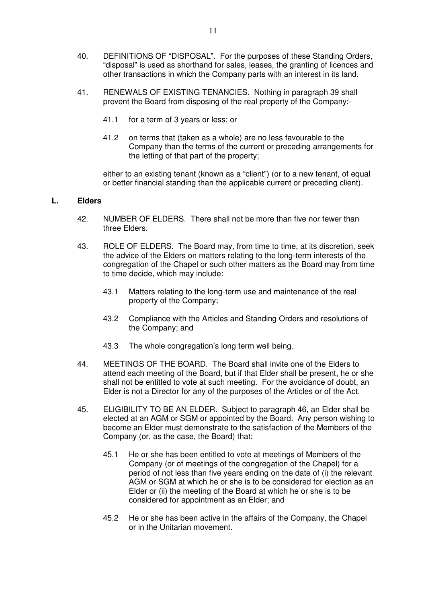- 40. DEFINITIONS OF "DISPOSAL". For the purposes of these Standing Orders, "disposal" is used as shorthand for sales, leases, the granting of licences and other transactions in which the Company parts with an interest in its land.
- 41. RENEWALS OF EXISTING TENANCIES. Nothing in paragraph 39 shall prevent the Board from disposing of the real property of the Company:-
	- 41.1 for a term of 3 years or less; or
	- 41.2 on terms that (taken as a whole) are no less favourable to the Company than the terms of the current or preceding arrangements for the letting of that part of the property;

either to an existing tenant (known as a "client") (or to a new tenant, of equal or better financial standing than the applicable current or preceding client).

### **L. Elders**

- 42. NUMBER OF ELDERS. There shall not be more than five nor fewer than three Elders.
- 43. ROLE OF ELDERS. The Board may, from time to time, at its discretion, seek the advice of the Elders on matters relating to the long-term interests of the congregation of the Chapel or such other matters as the Board may from time to time decide, which may include:
	- 43.1 Matters relating to the long-term use and maintenance of the real property of the Company;
	- 43.2 Compliance with the Articles and Standing Orders and resolutions of the Company; and
	- 43.3 The whole congregation's long term well being.
- 44. MEETINGS OF THE BOARD. The Board shall invite one of the Elders to attend each meeting of the Board, but if that Elder shall be present, he or she shall not be entitled to vote at such meeting. For the avoidance of doubt, an Elder is not a Director for any of the purposes of the Articles or of the Act.
- 45. ELIGIBILITY TO BE AN ELDER. Subject to paragraph 46, an Elder shall be elected at an AGM or SGM or appointed by the Board. Any person wishing to become an Elder must demonstrate to the satisfaction of the Members of the Company (or, as the case, the Board) that:
	- 45.1 He or she has been entitled to vote at meetings of Members of the Company (or of meetings of the congregation of the Chapel) for a period of not less than five years ending on the date of (i) the relevant AGM or SGM at which he or she is to be considered for election as an Elder or (ii) the meeting of the Board at which he or she is to be considered for appointment as an Elder; and
	- 45.2 He or she has been active in the affairs of the Company, the Chapel or in the Unitarian movement.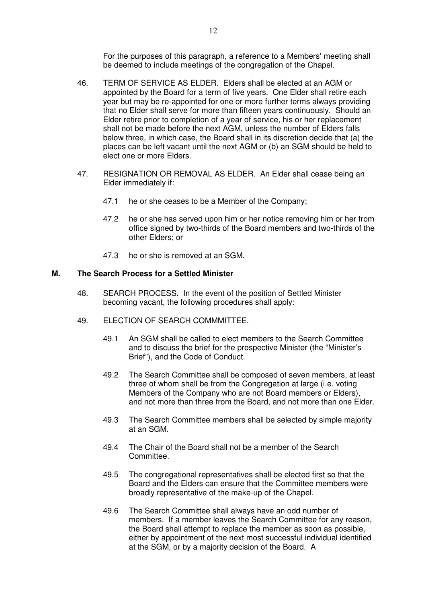For the purposes of this paragraph, a reference to a Members' meeting shall be deemed to include meetings of the congregation of the Chapel.

- 46. TERM OF SERVICE AS ELDER. Elders shall be elected at an AGM or appointed by the Board for a term of five years. One Elder shall retire each year but may be re-appointed for one or more further terms always providing that no Elder shall serve for more than fifteen years continuously. Should an Elder retire prior to completion of a year of service, his or her replacement shall not be made before the next AGM, unless the number of Elders falls below three, in which case, the Board shall in its discretion decide that (a) the places can be left vacant until the next AGM or (b) an SGM should be held to elect one or more Elders.
- 47. RESIGNATION OR REMOVAL AS ELDER. An Elder shall cease being an Elder immediately if:
	- 47.1 he or she ceases to be a Member of the Company;
	- 47.2 he or she has served upon him or her notice removing him or her from office signed by two-thirds of the Board members and two-thirds of the other Elders; or
	- 47.3 he or she is removed at an SGM.

### **M. The Search Process for a Settled Minister**

- 48. SEARCH PROCESS. In the event of the position of Settled Minister becoming vacant, the following procedures shall apply:
- 49. ELECTION OF SEARCH COMMMITTEE.
	- 49.1 An SGM shall be called to elect members to the Search Committee and to discuss the brief for the prospective Minister (the "Minister's Brief"), and the Code of Conduct.
	- 49.2 The Search Committee shall be composed of seven members, at least three of whom shall be from the Congregation at large (i.e. voting Members of the Company who are not Board members or Elders), and not more than three from the Board, and not more than one Elder.
	- 49.3 The Search Committee members shall be selected by simple majority at an SGM.
	- 49.4 The Chair of the Board shall not be a member of the Search Committee.
	- 49.5 The congregational representatives shall be elected first so that the Board and the Elders can ensure that the Committee members were broadly representative of the make-up of the Chapel.
	- 49.6 The Search Committee shall always have an odd number of members. If a member leaves the Search Committee for any reason, the Board shall attempt to replace the member as soon as possible, either by appointment of the next most successful individual identified at the SGM, or by a majority decision of the Board. A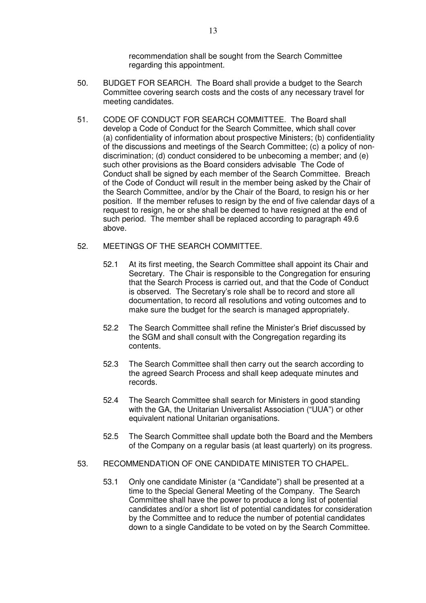recommendation shall be sought from the Search Committee regarding this appointment.

- 50. BUDGET FOR SEARCH. The Board shall provide a budget to the Search Committee covering search costs and the costs of any necessary travel for meeting candidates.
- 51. CODE OF CONDUCT FOR SEARCH COMMITTEE. The Board shall develop a Code of Conduct for the Search Committee, which shall cover (a) confidentiality of information about prospective Ministers; (b) confidentiality of the discussions and meetings of the Search Committee; (c) a policy of nondiscrimination; (d) conduct considered to be unbecoming a member; and (e) such other provisions as the Board considers advisable The Code of Conduct shall be signed by each member of the Search Committee. Breach of the Code of Conduct will result in the member being asked by the Chair of the Search Committee, and/or by the Chair of the Board, to resign his or her position. If the member refuses to resign by the end of five calendar days of a request to resign, he or she shall be deemed to have resigned at the end of such period. The member shall be replaced according to paragraph 49.6 above.
- 52. MEETINGS OF THE SEARCH COMMITTEE.
	- 52.1 At its first meeting, the Search Committee shall appoint its Chair and Secretary. The Chair is responsible to the Congregation for ensuring that the Search Process is carried out, and that the Code of Conduct is observed. The Secretary's role shall be to record and store all documentation, to record all resolutions and voting outcomes and to make sure the budget for the search is managed appropriately.
	- 52.2 The Search Committee shall refine the Minister's Brief discussed by the SGM and shall consult with the Congregation regarding its contents.
	- 52.3 The Search Committee shall then carry out the search according to the agreed Search Process and shall keep adequate minutes and records.
	- 52.4 The Search Committee shall search for Ministers in good standing with the GA, the Unitarian Universalist Association ("UUA") or other equivalent national Unitarian organisations.
	- 52.5 The Search Committee shall update both the Board and the Members of the Company on a regular basis (at least quarterly) on its progress.
- 53. RECOMMENDATION OF ONE CANDIDATE MINISTER TO CHAPEL.
	- 53.1 Only one candidate Minister (a "Candidate") shall be presented at a time to the Special General Meeting of the Company. The Search Committee shall have the power to produce a long list of potential candidates and/or a short list of potential candidates for consideration by the Committee and to reduce the number of potential candidates down to a single Candidate to be voted on by the Search Committee.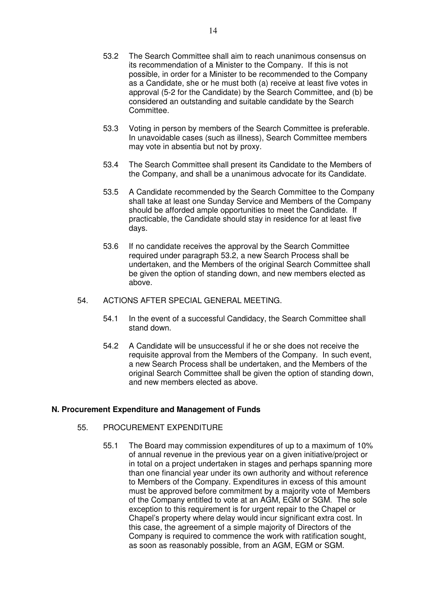- 53.2 The Search Committee shall aim to reach unanimous consensus on its recommendation of a Minister to the Company. If this is not possible, in order for a Minister to be recommended to the Company as a Candidate, she or he must both (a) receive at least five votes in approval (5-2 for the Candidate) by the Search Committee, and (b) be considered an outstanding and suitable candidate by the Search Committee.
- 53.3 Voting in person by members of the Search Committee is preferable. In unavoidable cases (such as illness), Search Committee members may vote in absentia but not by proxy.
- 53.4 The Search Committee shall present its Candidate to the Members of the Company, and shall be a unanimous advocate for its Candidate.
- 53.5 A Candidate recommended by the Search Committee to the Company shall take at least one Sunday Service and Members of the Company should be afforded ample opportunities to meet the Candidate. If practicable, the Candidate should stay in residence for at least five days.
- 53.6 If no candidate receives the approval by the Search Committee required under paragraph 53.2, a new Search Process shall be undertaken, and the Members of the original Search Committee shall be given the option of standing down, and new members elected as above.
- 54. ACTIONS AFTER SPECIAL GENERAL MEETING.
	- 54.1 In the event of a successful Candidacy, the Search Committee shall stand down.
	- 54.2 A Candidate will be unsuccessful if he or she does not receive the requisite approval from the Members of the Company. In such event, a new Search Process shall be undertaken, and the Members of the original Search Committee shall be given the option of standing down, and new members elected as above.

#### **N. Procurement Expenditure and Management of Funds**

- 55. PROCUREMENT EXPENDITURE
	- 55.1 The Board may commission expenditures of up to a maximum of 10% of annual revenue in the previous year on a given initiative/project or in total on a project undertaken in stages and perhaps spanning more than one financial year under its own authority and without reference to Members of the Company. Expenditures in excess of this amount must be approved before commitment by a majority vote of Members of the Company entitled to vote at an AGM, EGM or SGM. The sole exception to this requirement is for urgent repair to the Chapel or Chapel's property where delay would incur significant extra cost. In this case, the agreement of a simple majority of Directors of the Company is required to commence the work with ratification sought, as soon as reasonably possible, from an AGM, EGM or SGM.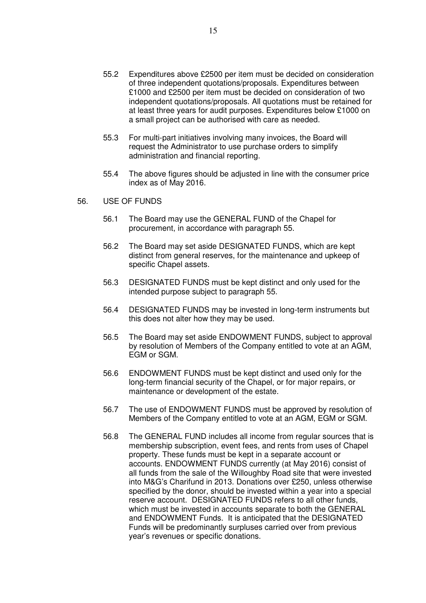- 55.2 Expenditures above £2500 per item must be decided on consideration of three independent quotations/proposals. Expenditures between £1000 and £2500 per item must be decided on consideration of two independent quotations/proposals. All quotations must be retained for at least three years for audit purposes. Expenditures below £1000 on a small project can be authorised with care as needed.
- 55.3 For multi-part initiatives involving many invoices, the Board will request the Administrator to use purchase orders to simplify administration and financial reporting.
- 55.4 The above figures should be adjusted in line with the consumer price index as of May 2016.
- 56. USE OF FUNDS
	- 56.1 The Board may use the GENERAL FUND of the Chapel for procurement, in accordance with paragraph 55.
	- 56.2 The Board may set aside DESIGNATED FUNDS, which are kept distinct from general reserves, for the maintenance and upkeep of specific Chapel assets.
	- 56.3 DESIGNATED FUNDS must be kept distinct and only used for the intended purpose subject to paragraph 55.
	- 56.4 DESIGNATED FUNDS may be invested in long-term instruments but this does not alter how they may be used.
	- 56.5 The Board may set aside ENDOWMENT FUNDS, subject to approval by resolution of Members of the Company entitled to vote at an AGM, EGM or SGM.
	- 56.6 ENDOWMENT FUNDS must be kept distinct and used only for the long-term financial security of the Chapel, or for major repairs, or maintenance or development of the estate.
	- 56.7 The use of ENDOWMENT FUNDS must be approved by resolution of Members of the Company entitled to vote at an AGM, EGM or SGM.
	- 56.8 The GENERAL FUND includes all income from regular sources that is membership subscription, event fees, and rents from uses of Chapel property. These funds must be kept in a separate account or accounts. ENDOWMENT FUNDS currently (at May 2016) consist of all funds from the sale of the Willoughby Road site that were invested into M&G's Charifund in 2013. Donations over £250, unless otherwise specified by the donor, should be invested within a year into a special reserve account. DESIGNATED FUNDS refers to all other funds, which must be invested in accounts separate to both the GENERAL and ENDOWMENT Funds. It is anticipated that the DESIGNATED Funds will be predominantly surpluses carried over from previous year's revenues or specific donations.